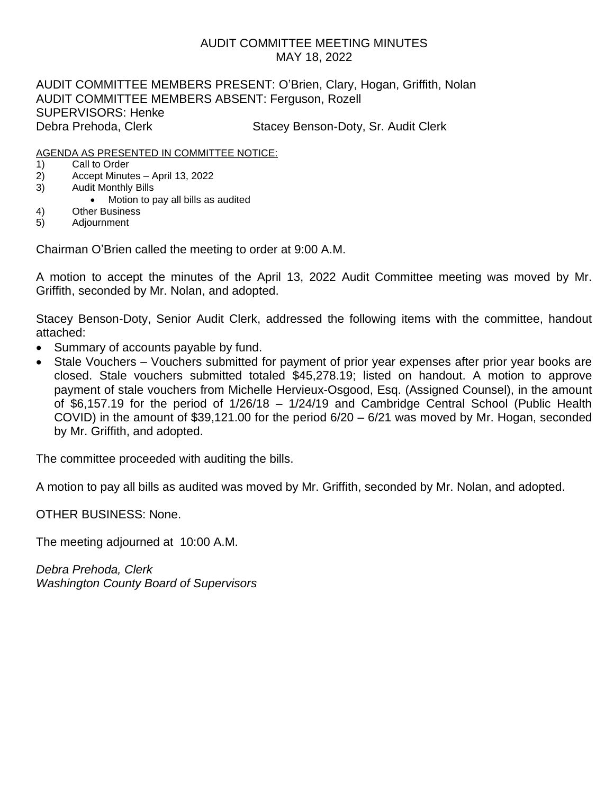### AUDIT COMMITTEE MEETING MINUTES MAY 18, 2022

AUDIT COMMITTEE MEMBERS PRESENT: O'Brien, Clary, Hogan, Griffith, Nolan AUDIT COMMITTEE MEMBERS ABSENT: Ferguson, Rozell SUPERVISORS: Henke Debra Prehoda, Clerk Stacey Benson-Doty, Sr. Audit Clerk

#### AGENDA AS PRESENTED IN COMMITTEE NOTICE:

- 1) Call to Order
- 2) Accept Minutes April 13, 2022
- 3) Audit Monthly Bills
	- Motion to pay all bills as audited
- 4) Other Business
- 5) Adjournment

Chairman O'Brien called the meeting to order at 9:00 A.M.

A motion to accept the minutes of the April 13, 2022 Audit Committee meeting was moved by Mr. Griffith, seconded by Mr. Nolan, and adopted.

Stacey Benson-Doty, Senior Audit Clerk, addressed the following items with the committee, handout attached:

- Summary of accounts payable by fund.
- Stale Vouchers Vouchers submitted for payment of prior year expenses after prior year books are closed. Stale vouchers submitted totaled \$45,278.19; listed on handout. A motion to approve payment of stale vouchers from Michelle Hervieux-Osgood, Esq. (Assigned Counsel), in the amount of \$6,157.19 for the period of 1/26/18 – 1/24/19 and Cambridge Central School (Public Health COVID) in the amount of \$39,121.00 for the period 6/20 – 6/21 was moved by Mr. Hogan, seconded by Mr. Griffith, and adopted.

The committee proceeded with auditing the bills.

A motion to pay all bills as audited was moved by Mr. Griffith, seconded by Mr. Nolan, and adopted.

OTHER BUSINESS: None.

The meeting adjourned at 10:00 A.M.

*Debra Prehoda, Clerk Washington County Board of Supervisors*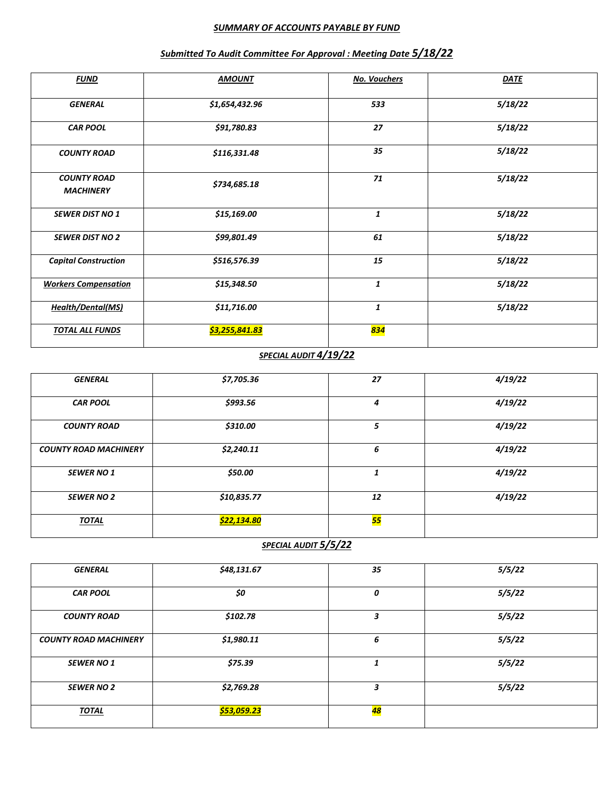#### *SUMMARY OF ACCOUNTS PAYABLE BY FUND*

| <b>FUND</b>                            | <b>AMOUNT</b>  | <b>No. Vouchers</b> | <u>DATE</u> |
|----------------------------------------|----------------|---------------------|-------------|
| <b>GENERAL</b>                         | \$1,654,432.96 | 533                 | 5/18/22     |
| <b>CAR POOL</b>                        | \$91,780.83    | 27                  | 5/18/22     |
| <b>COUNTY ROAD</b>                     | \$116,331.48   | 35                  | 5/18/22     |
| <b>COUNTY ROAD</b><br><b>MACHINERY</b> | \$734,685.18   | 71                  | 5/18/22     |
| <b>SEWER DIST NO 1</b>                 | \$15,169.00    | 1                   | 5/18/22     |
| <b>SEWER DIST NO 2</b>                 | \$99,801.49    | 61                  | 5/18/22     |
| <b>Capital Construction</b>            | \$516,576.39   | 15                  | 5/18/22     |
| <b>Workers Compensation</b>            | \$15,348.50    | 1                   | 5/18/22     |
| <b>Health/Dental(MS)</b>               | \$11,716.00    | $\mathbf{1}$        | 5/18/22     |
| <b>TOTAL ALL FUNDS</b>                 | \$3,255,841.83 | <mark>834</mark>    |             |

## *Submitted To Audit Committee For Approval : Meeting Date 5/18/22*

# *SPECIAL AUDIT 4/19/22*

| <b>GENERAL</b>               | \$7,705.36         | 27              | 4/19/22 |
|------------------------------|--------------------|-----------------|---------|
| <b>CAR POOL</b>              | \$993.56           | 4               | 4/19/22 |
| <b>COUNTY ROAD</b>           | \$310.00           | 5               | 4/19/22 |
| <b>COUNTY ROAD MACHINERY</b> | \$2,240.11         | 6               | 4/19/22 |
| <b>SEWER NO 1</b>            | \$50.00            |                 | 4/19/22 |
| <b>SEWER NO 2</b>            | \$10,835.77        | 12              | 4/19/22 |
| <b>TOTAL</b>                 | <u>\$22,134.80</u> | <mark>55</mark> |         |

# *SPECIAL AUDIT 5/5/22*

| <b>GENERAL</b>               | \$48,131.67 | 35              | 5/5/22 |
|------------------------------|-------------|-----------------|--------|
| <b>CAR POOL</b>              | \$0         | 0               | 5/5/22 |
| <b>COUNTY ROAD</b>           | \$102.78    | 3               | 5/5/22 |
| <b>COUNTY ROAD MACHINERY</b> | \$1,980.11  | 6               | 5/5/22 |
| <b>SEWER NO 1</b>            | \$75.39     | 1               | 5/5/22 |
| <b>SEWER NO 2</b>            | \$2,769.28  | 3               | 5/5/22 |
| <b>TOTAL</b>                 | \$53,059.23 | <mark>48</mark> |        |